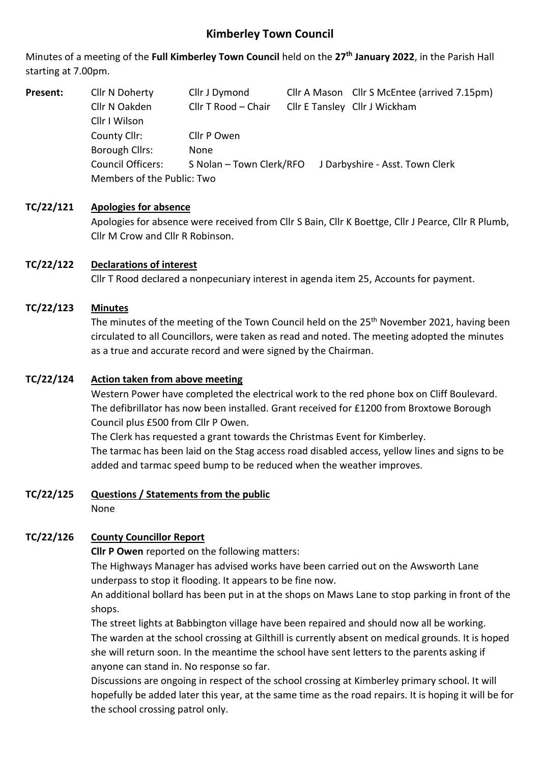# **Kimberley Town Council**

Minutes of a meeting of the **Full Kimberley Town Council** held on the **27th January 2022**, in the Parish Hall starting at 7.00pm.

**Present:** Cllr N Doherty Cllr J Dymond Cllr A Mason Cllr S McEntee (arrived 7.15pm) Cllr N Oakden Cllr T Rood – Chair Cllr E Tansley Cllr J Wickham Cllr I Wilson County Cllr: Cllr P Owen Borough Cllrs: None Council Officers: S Nolan – Town Clerk/RFO J Darbyshire - Asst. Town Clerk Members of the Public: Two

## **TC/22/121 Apologies for absence**

Apologies for absence were received from Cllr S Bain, Cllr K Boettge, Cllr J Pearce, Cllr R Plumb, Cllr M Crow and Cllr R Robinson.

## **TC/22/122 Declarations of interest**

Cllr T Rood declared a nonpecuniary interest in agenda item 25, Accounts for payment.

### **TC/22/123 Minutes**

The minutes of the meeting of the Town Council held on the 25<sup>th</sup> November 2021, having been circulated to all Councillors, were taken as read and noted. The meeting adopted the minutes as a true and accurate record and were signed by the Chairman.

### **TC/22/124 Action taken from above meeting**

Western Power have completed the electrical work to the red phone box on Cliff Boulevard. The defibrillator has now been installed. Grant received for £1200 from Broxtowe Borough Council plus £500 from Cllr P Owen.

The Clerk has requested a grant towards the Christmas Event for Kimberley. The tarmac has been laid on the Stag access road disabled access, yellow lines and signs to be added and tarmac speed bump to be reduced when the weather improves.

### **TC/22/125 Questions / Statements from the public**

None

## **TC/22/126 County Councillor Report**

**Cllr P Owen** reported on the following matters:

The Highways Manager has advised works have been carried out on the Awsworth Lane underpass to stop it flooding. It appears to be fine now.

An additional bollard has been put in at the shops on Maws Lane to stop parking in front of the shops.

The street lights at Babbington village have been repaired and should now all be working. The warden at the school crossing at Gilthill is currently absent on medical grounds. It is hoped she will return soon. In the meantime the school have sent letters to the parents asking if anyone can stand in. No response so far.

Discussions are ongoing in respect of the school crossing at Kimberley primary school. It will hopefully be added later this year, at the same time as the road repairs. It is hoping it will be for the school crossing patrol only.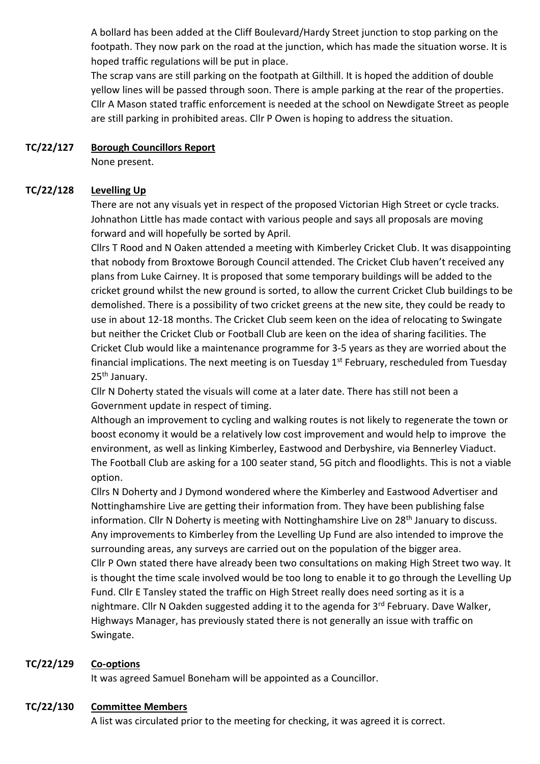A bollard has been added at the Cliff Boulevard/Hardy Street junction to stop parking on the footpath. They now park on the road at the junction, which has made the situation worse. It is hoped traffic regulations will be put in place.

The scrap vans are still parking on the footpath at Gilthill. It is hoped the addition of double yellow lines will be passed through soon. There is ample parking at the rear of the properties. Cllr A Mason stated traffic enforcement is needed at the school on Newdigate Street as people are still parking in prohibited areas. Cllr P Owen is hoping to address the situation.

## **TC/22/127 Borough Councillors Report**

None present.

## **TC/22/128 Levelling Up**

There are not any visuals yet in respect of the proposed Victorian High Street or cycle tracks. Johnathon Little has made contact with various people and says all proposals are moving forward and will hopefully be sorted by April.

Cllrs T Rood and N Oaken attended a meeting with Kimberley Cricket Club. It was disappointing that nobody from Broxtowe Borough Council attended. The Cricket Club haven't received any plans from Luke Cairney. It is proposed that some temporary buildings will be added to the cricket ground whilst the new ground is sorted, to allow the current Cricket Club buildings to be demolished. There is a possibility of two cricket greens at the new site, they could be ready to use in about 12-18 months. The Cricket Club seem keen on the idea of relocating to Swingate but neither the Cricket Club or Football Club are keen on the idea of sharing facilities. The Cricket Club would like a maintenance programme for 3-5 years as they are worried about the financial implications. The next meeting is on Tuesday  $1<sup>st</sup>$  February, rescheduled from Tuesday 25th January.

Cllr N Doherty stated the visuals will come at a later date. There has still not been a Government update in respect of timing.

Although an improvement to cycling and walking routes is not likely to regenerate the town or boost economy it would be a relatively low cost improvement and would help to improve the environment, as well as linking Kimberley, Eastwood and Derbyshire, via Bennerley Viaduct. The Football Club are asking for a 100 seater stand, 5G pitch and floodlights. This is not a viable option.

Cllrs N Doherty and J Dymond wondered where the Kimberley and Eastwood Advertiser and Nottinghamshire Live are getting their information from. They have been publishing false information. Cllr N Doherty is meeting with Nottinghamshire Live on 28<sup>th</sup> January to discuss. Any improvements to Kimberley from the Levelling Up Fund are also intended to improve the surrounding areas, any surveys are carried out on the population of the bigger area. Cllr P Own stated there have already been two consultations on making High Street two way. It is thought the time scale involved would be too long to enable it to go through the Levelling Up Fund. Cllr E Tansley stated the traffic on High Street really does need sorting as it is a nightmare. Cllr N Oakden suggested adding it to the agenda for 3<sup>rd</sup> February. Dave Walker, Highways Manager, has previously stated there is not generally an issue with traffic on Swingate.

## **TC/22/129 Co-options**

It was agreed Samuel Boneham will be appointed as a Councillor.

## **TC/22/130 Committee Members**

A list was circulated prior to the meeting for checking, it was agreed it is correct.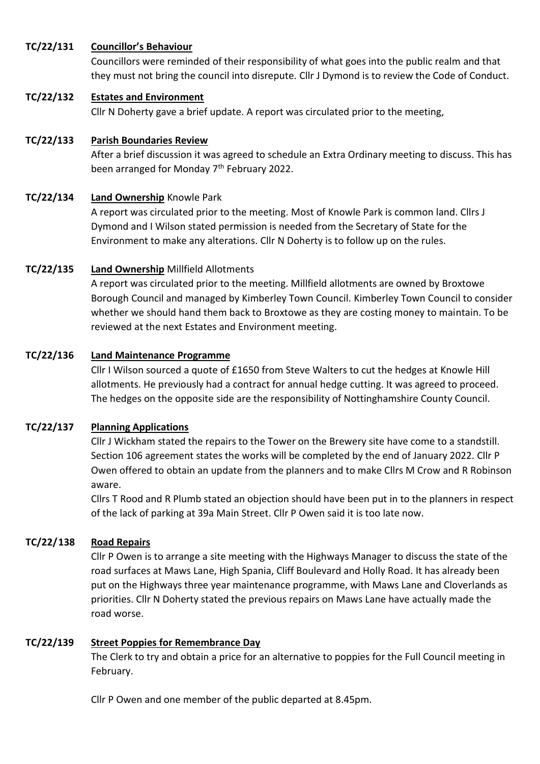## **TC/22/131 Councillor's Behaviour**

Councillors were reminded of their responsibility of what goes into the public realm and that they must not bring the council into disrepute. Cllr J Dymond is to review the Code of Conduct.

## **TC/22/132 Estates and Environment**

Cllr N Doherty gave a brief update. A report was circulated prior to the meeting,

# **TC/22/133 Parish Boundaries Review**

After a brief discussion it was agreed to schedule an Extra Ordinary meeting to discuss. This has been arranged for Monday 7<sup>th</sup> February 2022.

# **TC/22/134 Land Ownership** Knowle Park

A report was circulated prior to the meeting. Most of Knowle Park is common land. Cllrs J Dymond and I Wilson stated permission is needed from the Secretary of State for the Environment to make any alterations. Cllr N Doherty is to follow up on the rules.

# **TC/22/135 Land Ownership** Millfield Allotments

A report was circulated prior to the meeting. Millfield allotments are owned by Broxtowe Borough Council and managed by Kimberley Town Council. Kimberley Town Council to consider whether we should hand them back to Broxtowe as they are costing money to maintain. To be reviewed at the next Estates and Environment meeting.

# **TC/22/136 Land Maintenance Programme**

Cllr I Wilson sourced a quote of £1650 from Steve Walters to cut the hedges at Knowle Hill allotments. He previously had a contract for annual hedge cutting. It was agreed to proceed. The hedges on the opposite side are the responsibility of Nottinghamshire County Council.

# **TC/22/137 Planning Applications**

Cllr J Wickham stated the repairs to the Tower on the Brewery site have come to a standstill. Section 106 agreement states the works will be completed by the end of January 2022. Cllr P Owen offered to obtain an update from the planners and to make Cllrs M Crow and R Robinson aware.

Cllrs T Rood and R Plumb stated an objection should have been put in to the planners in respect of the lack of parking at 39a Main Street. Cllr P Owen said it is too late now.

# **TC/22/138 Road Repairs**

Cllr P Owen is to arrange a site meeting with the Highways Manager to discuss the state of the road surfaces at Maws Lane, High Spania, Cliff Boulevard and Holly Road. It has already been put on the Highways three year maintenance programme, with Maws Lane and Cloverlands as priorities. Cllr N Doherty stated the previous repairs on Maws Lane have actually made the road worse.

## **TC/22/139 Street Poppies for Remembrance Day**

The Clerk to try and obtain a price for an alternative to poppies for the Full Council meeting in February.

Cllr P Owen and one member of the public departed at 8.45pm.